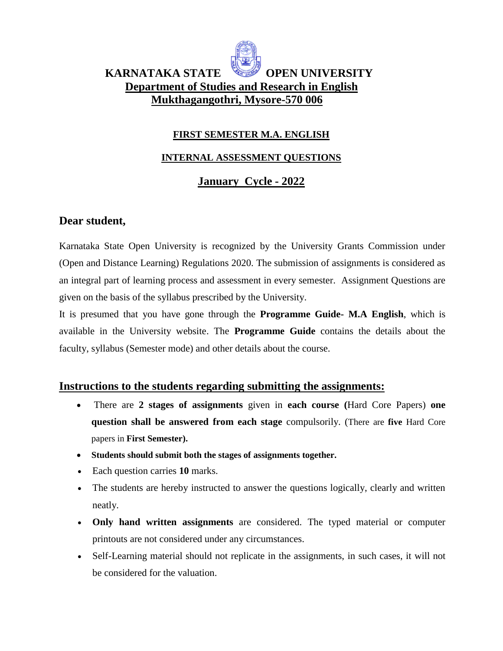

# **KARNATAKA STATE OPEN UNIVERSITY Department of Studies and Research in English Mukthagangothri, Mysore-570 006**

#### **FIRST SEMESTER M.A. ENGLISH**

#### **INTERNAL ASSESSMENT QUESTIONS**

# **January Cycle - 2022**

#### **Dear student,**

Karnataka State Open University is recognized by the University Grants Commission under (Open and Distance Learning) Regulations 2020. The submission of assignments is considered as an integral part of learning process and assessment in every semester. Assignment Questions are given on the basis of the syllabus prescribed by the University.

It is presumed that you have gone through the **Programme Guide- M.A English**, which is available in the University website. The **Programme Guide** contains the details about the faculty, syllabus (Semester mode) and other details about the course.

#### **Instructions to the students regarding submitting the assignments:**

- There are **2 stages of assignments** given in **each course (**Hard Core Papers) **one question shall be answered from each stage** compulsorily. (There are **five** Hard Core papers in **First Semester).**
- **Students should submit both the stages of assignments together.**
- Each question carries **10** marks.
- The students are hereby instructed to answer the questions logically, clearly and written neatly.
- **Only hand written assignments** are considered. The typed material or computer printouts are not considered under any circumstances.
- Self-Learning material should not replicate in the assignments, in such cases, it will not be considered for the valuation.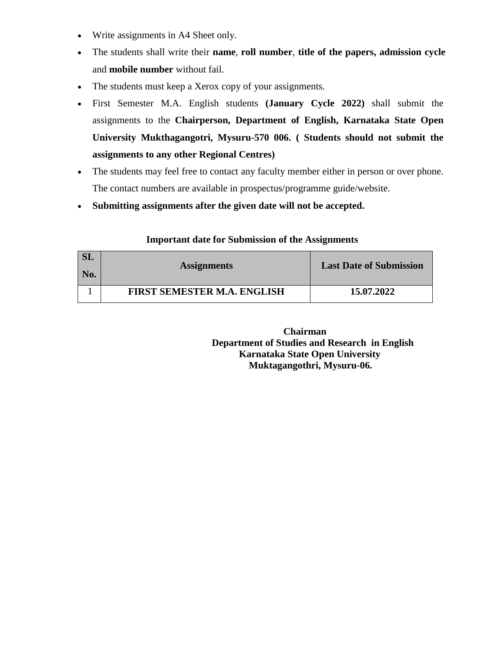- Write assignments in A4 Sheet only.
- The students shall write their **name**, **roll number**, **title of the papers, admission cycle** and **mobile number** without fail.
- The students must keep a Xerox copy of your assignments.
- First Semester M.A. English students **(January Cycle 2022)** shall submit the assignments to the **Chairperson, Department of English, Karnataka State Open University Mukthagangotri, Mysuru-570 006. ( Students should not submit the assignments to any other Regional Centres)**
- The students may feel free to contact any faculty member either in person or over phone. The contact numbers are available in prospectus/programme guide/website.
- **Submitting assignments after the given date will not be accepted.**

| <b>SL</b><br>  No. | <b>Assignments</b>                 | <b>Last Date of Submission</b> |
|--------------------|------------------------------------|--------------------------------|
|                    |                                    |                                |
|                    | <b>FIRST SEMESTER M.A. ENGLISH</b> | 15.07.2022                     |

#### **Important date for Submission of the Assignments**

 **Chairman Department of Studies and Research in English Karnataka State Open University Muktagangothri, Mysuru-06.**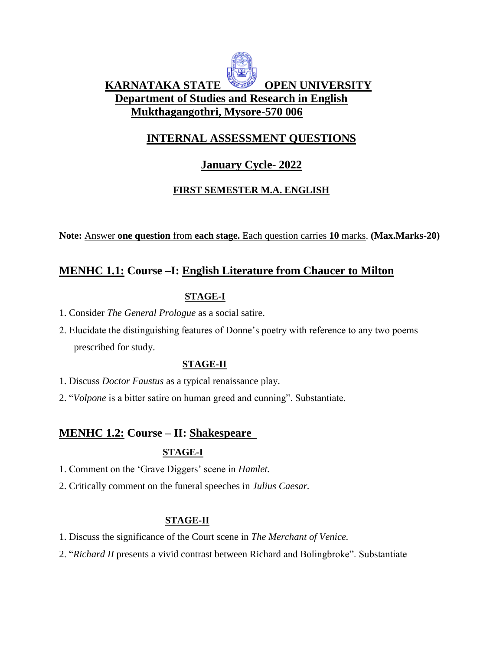# **KARNATAKA STATE OPEN UNIVERSITY Department of Studies and Research in English Mukthagangothri, Mysore-570 006**

# **INTERNAL ASSESSMENT QUESTIONS**

# **January Cycle- 2022**

#### **FIRST SEMESTER M.A. ENGLISH**

**Note:** Answer **one question** from **each stage.** Each question carries **10** marks. **(Max.Marks-20)** 

# **MENHC 1.1: Course –I: English Literature from Chaucer to Milton**

#### **STAGE-I**

- 1. Consider *The General Prologue* as a social satire.
- 2. Elucidate the distinguishing features of Donne's poetry with reference to any two poems prescribed for study.

#### **STAGE-II**

- 1. Discuss *Doctor Faustus* as a typical renaissance play.
- 2. "*Volpone* is a bitter satire on human greed and cunning". Substantiate.

#### **MENHC 1.2: Course – II: Shakespeare**

#### **STAGE-I**

- 1. Comment on the 'Grave Diggers' scene in *Hamlet.*
- 2. Critically comment on the funeral speeches in *Julius Caesar.*

#### **STAGE-II**

- 1. Discuss the significance of the Court scene in *The Merchant of Venice.*
- 2. "*Richard II* presents a vivid contrast between Richard and Bolingbroke". Substantiate